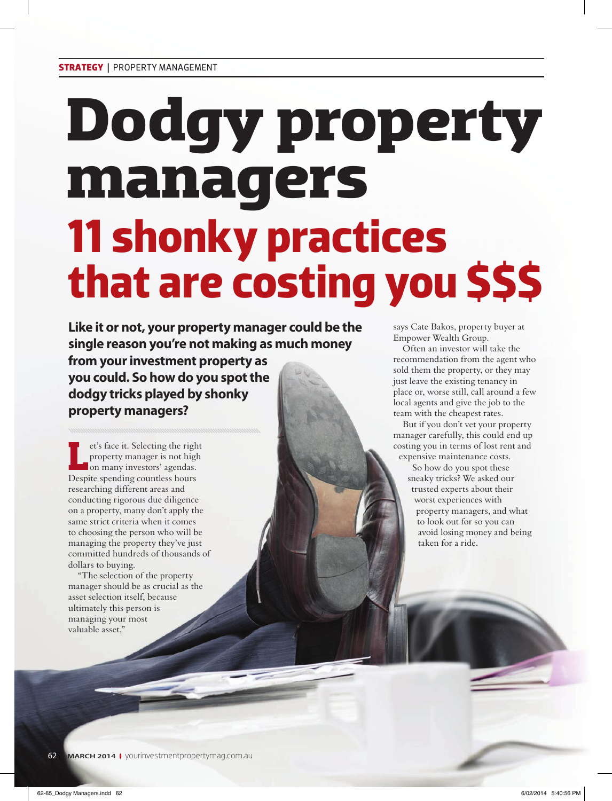# **Dodgy property managers 11 shonky practices that are costing you \$\$\$**

**Like it or not, your property manager could be the single reason you're not making as much money from your investment property as you could. So how do you spot the dodgy tricks played by shonky property managers?**

et's face it. Selecting the right<br>property manager is not high<br>on many investors' agendas.<br>Despite spending countless hours et's face it. Selecting the right property manager is not high on many investors' agendas. researching different areas and conducting rigorous due diligence on a property, many don't apply the same strict criteria when it comes to choosing the person who will be managing the property they've just committed hundreds of thousands of dollars to buying.

"The selection of the property manager should be as crucial as the asset selection itself, because ultimately this person is managing your most valuable asset,"

says Cate Bakos, property buyer at Empower Wealth Group.

Often an investor will take the recommendation from the agent who sold them the property, or they may just leave the existing tenancy in place or, worse still, call around a few local agents and give the job to the team with the cheapest rates.

But if you don't vet your property manager carefully, this could end up costing you in terms of lost rent and expensive maintenance costs.

> So how do you spot these sneaky tricks? We asked our trusted experts about their worst experiences with property managers, and what to look out for so you can avoid losing money and being taken for a ride.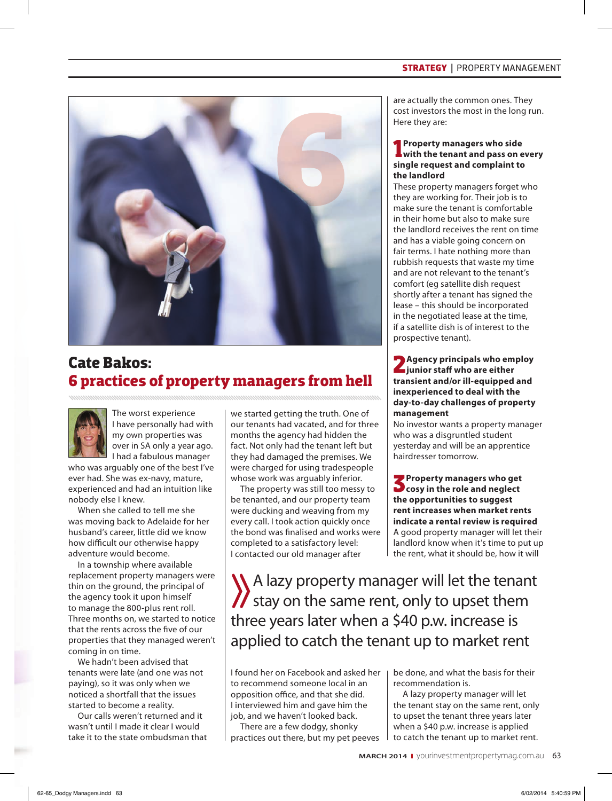## **STRATEGY |** PROPERTY MANAGEMENT



## **Cate Bakos: 6 practices of property managers from hell**



The worst experience I have personally had with my own properties was over in SA only a year ago. I had a fabulous manager

who was arguably one of the best I've ever had. She was ex-navy, mature, experienced and had an intuition like nobody else I knew.

When she called to tell me she was moving back to Adelaide for her husband's career, little did we know how difficult our otherwise happy adventure would become.

In a township where available replacement property managers were thin on the ground, the principal of the agency took it upon himself to manage the 800-plus rent roll. Three months on, we started to notice that the rents across the five of our properties that they managed weren't coming in on time.

We hadn't been advised that tenants were late (and one was not paying), so it was only when we noticed a shortfall that the issues started to become a reality.

Our calls weren't returned and it wasn't until I made it clear I would take it to the state ombudsman that we started getting the truth. One of our tenants had vacated, and for three months the agency had hidden the fact. Not only had the tenant left but they had damaged the premises. We were charged for using tradespeople whose work was arguably inferior.

The property was still too messy to be tenanted, and our property team were ducking and weaving from my every call. I took action quickly once the bond was finalised and works were completed to a satisfactory level: I contacted our old manager after

are actually the common ones. They cost investors the most in the long run. Here they are:

#### **1** Property managers who side with the tenant and pass on example. **with the tenant and pass on every single request and complaint to the landlord**

These property managers forget who they are working for. Their job is to make sure the tenant is comfortable in their home but also to make sure the landlord receives the rent on time and has a viable going concern on fair terms. I hate nothing more than rubbish requests that waste my time and are not relevant to the tenant's comfort (eg satellite dish request shortly after a tenant has signed the lease – this should be incorporated in the negotiated lease at the time, if a satellite dish is of interest to the prospective tenant).

## **2Agency principals who employ junior staff who are either transient and/or ill-equipped and inexperienced to deal with the day-to-day challenges of property management**

No investor wants a property manager who was a disgruntled student yesterday and will be an apprentice hairdresser tomorrow.

**3Property managers who get cosy in the role and neglect the opportunities to suggest rent increases when market rents indicate a rental review is required**  A good property manager will let their landlord know when it's time to put up the rent, what it should be, how it will

A lazy property manager will let the tenant  $\mathcal{U}$  stay on the same rent, only to upset them three years later when a \$40 p.w. increase is applied to catch the tenant up to market rent

I found her on Facebook and asked her to recommend someone local in an opposition office, and that she did. I interviewed him and gave him the job, and we haven't looked back.

There are a few dodgy, shonky practices out there, but my pet peeves be done, and what the basis for their recommendation is.

A lazy property manager will let the tenant stay on the same rent, only to upset the tenant three years later when a \$40 p.w. increase is applied to catch the tenant up to market rent.